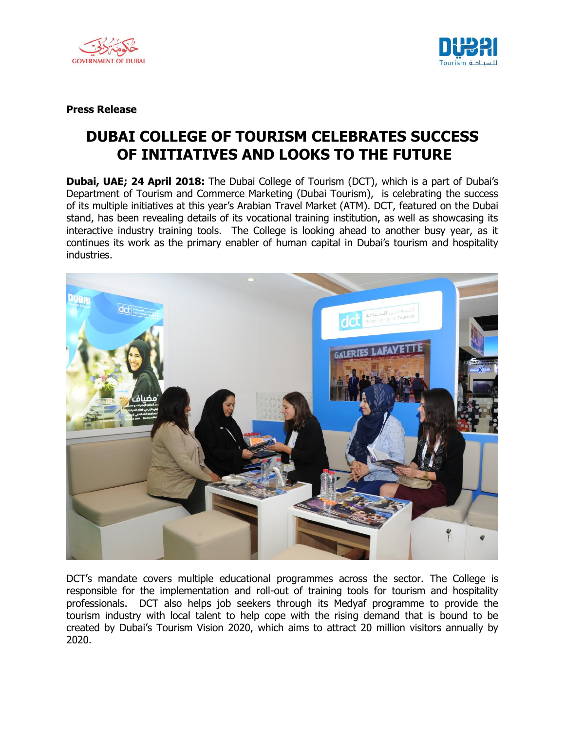



**Press Release**

## **DUBAI COLLEGE OF TOURISM CELEBRATES SUCCESS OF INITIATIVES AND LOOKS TO THE FUTURE**

**Dubai, UAE; 24 April 2018:** The Dubai College of Tourism (DCT), which is a part of Dubai's Department of Tourism and Commerce Marketing (Dubai Tourism), is celebrating the success of its multiple initiatives at this year's Arabian Travel Market (ATM). DCT, featured on the Dubai stand, has been revealing details of its vocational training institution, as well as showcasing its interactive industry training tools. The College is looking ahead to another busy year, as it continues its work as the primary enabler of human capital in Dubai's tourism and hospitality industries.



DCT"s mandate covers multiple educational programmes across the sector. The College is responsible for the implementation and roll-out of training tools for tourism and hospitality professionals. DCT also helps job seekers through its Medyaf programme to provide the tourism industry with local talent to help cope with the rising demand that is bound to be created by Dubai"s Tourism Vision 2020, which aims to attract 20 million visitors annually by 2020.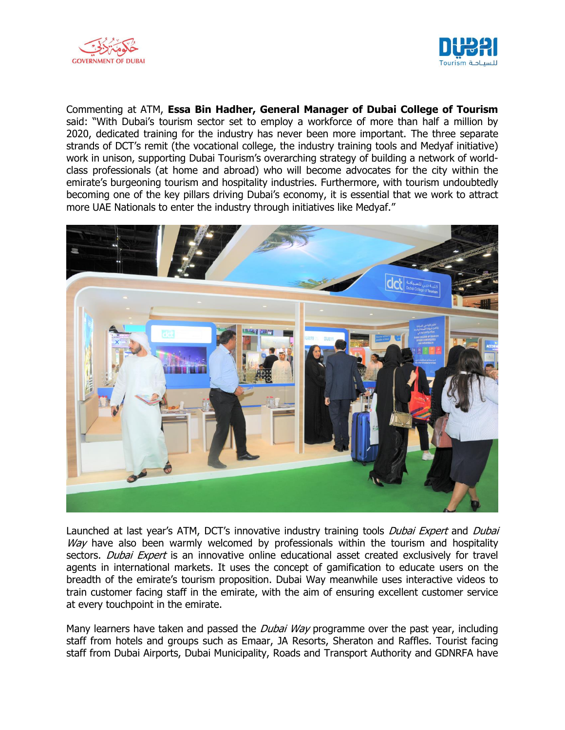



Commenting at ATM, **Essa Bin Hadher, General Manager of Dubai College of Tourism**  said: "With Dubai's tourism sector set to employ a workforce of more than half a million by 2020, dedicated training for the industry has never been more important. The three separate strands of DCT"s remit (the vocational college, the industry training tools and Medyaf initiative) work in unison, supporting Dubai Tourism"s overarching strategy of building a network of worldclass professionals (at home and abroad) who will become advocates for the city within the emirate's burgeoning tourism and hospitality industries. Furthermore, with tourism undoubtedly becoming one of the key pillars driving Dubai's economy, it is essential that we work to attract more UAE Nationals to enter the industry through initiatives like Medyaf."



Launched at last year's ATM, DCT's innovative industry training tools *Dubai Expert* and *Dubai* Way have also been warmly welcomed by professionals within the tourism and hospitality sectors. *Dubai Expert* is an innovative online educational asset created exclusively for travel agents in international markets. It uses the concept of gamification to educate users on the breadth of the emirate"s tourism proposition. Dubai Way meanwhile uses interactive videos to train customer facing staff in the emirate, with the aim of ensuring excellent customer service at every touchpoint in the emirate.

Many learners have taken and passed the *Dubai Way* programme over the past year, including staff from hotels and groups such as Emaar, JA Resorts, Sheraton and Raffles. Tourist facing staff from Dubai Airports, Dubai Municipality, Roads and Transport Authority and GDNRFA have